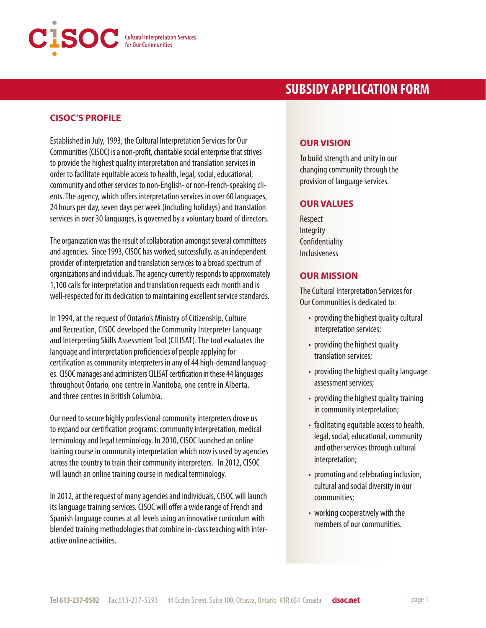

# **SUBSIDY APPLICATION FORM**

### **CISOC'S PROFILE**

Established in July, 1993, the Cultural Interpretation Services for Our Communities (CISOC) is a non-profit, charitable social enterprise that strives to provide the highest quality interpretation and translation services in order to facilitate equitable access to health, legal, social, educational, community and other services to non-English- or non-French-speaking clients. The agency, which offers interpretation services in over 60 languages, 24 hours per day, seven days per week (including holidays) and translation services in over 30 languages, is governed by a voluntary board of directors.

The organization was the result of collaboration amongst several committees and agencies. Since 1993, CISOC has worked, successfully, as an independent provider of interpretation and translation services to a broad spectrum of organizations and individuals. The agency currently responds to approximately 1,100 calls for interpretation and translation requests each month and is well-respected for its dedication to maintaining excellent service standards.

In 1994, at the request of Ontario's Ministry of Citizenship, Culture and Recreation, CISOC developed the Community Interpreter Language and Interpreting Skills Assessment Tool (CILISAT). The tool evaluates the language and interpretation proficiencies of people applying for certification as community interpreters in any of 44 high-demand languages. CISOC manages and administers CILISAT certification in these 44 languages throughout Ontario, one centre in Manitoba, one centre in Alberta, and three centres in British Columbia.

Our need to secure highly professional community interpreters drove us to expand our certification programs: community interpretation, medical terminology and legal terminology. In 2010, CISOC launched an online training course in community interpretation which now is used by agencies across the country to train their community interpreters. In 2012, CISOC will launch an online training course in medical terminology.

In 2012, at the request of many agencies and individuals, CISOC will launch its language training services. CISOC will offer a wide range of French and Spanish language courses at all levels using an innovative curriculum with blended training methodologies that combine in-class teaching with interactive online activities.

## **OUR VISION**

To build strength and unity in our changing community through the provision of language services.

#### **OUR VALUES**

Respect Integrity **Confidentiality** Inclusiveness

#### **OUR MISSION**

The Cultural Interpretation Services for Our Communities is dedicated to:

- providing the highest quality cultural interpretation services;
- providing the highest quality translation services;
- providing the highest quality language assessment services;
- providing the highest quality training in community interpretation;
- facilitating equitable access to health, legal, social, educational, community and other services through cultural interpretation;
- promoting and celebrating inclusion, cultural and social diversity in our communities;
- working cooperatively with the members of our communities.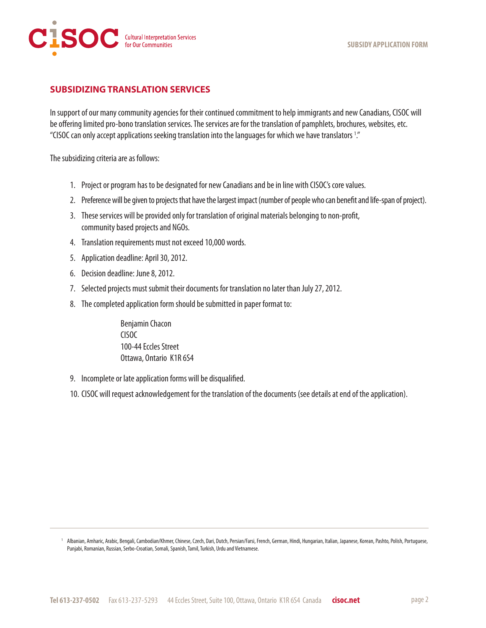

## **SUBSIDIZING TRANSLATION SERVICES**

In support of our many community agencies for their continued commitment to help immigrants and new Canadians, CISOC will be offering limited pro-bono translation services. The services are for the translation of pamphlets, brochures, websites, etc. "CISOC can only accept applications seeking translation into the languages for which we have translators 1 ."

The subsidizing criteria are as follows:

- 1. Project or program has to be designated for new Canadians and be in line with CISOC's core values.
- 2. Preference will be given to projects that have the largest impact (number of people who can benefit and life-span of project).
- 3. These services will be provided only for translation of original materials belonging to non-profit, community based projects and NGOs.
- 4. Translation requirements must not exceed 10,000 words.
- 5. Application deadline: April 30, 2012.
- 6. Decision deadline: June 8, 2012.
- 7. Selected projects must submit their documents for translation no later than July 27, 2012.
- 8. The completed application form should be submitted in paper format to:

 Benjamin Chacon CISOC 100-44 Eccles Street Ottawa, Ontario K1R 6S4

- 9. Incomplete or late application forms will be disqualified.
- 10. CISOC will request acknowledgement for the translation of the documents (see details at end of the application).

<sup>&</sup>lt;sup>1</sup> Albanian, Amharic, Arabic, Bengali, Cambodian/Khmer, Chinese, Czech, Dari, Dutch, Persian/Farsi, French, German, Hindi, Hungarian, Italian, Japanese, Korean, Pashto, Polish, Portuguese, Punjabi, Romanian, Russian, Serbo-Croatian, Somali, Spanish, Tamil, Turkish, Urdu and Vietnamese.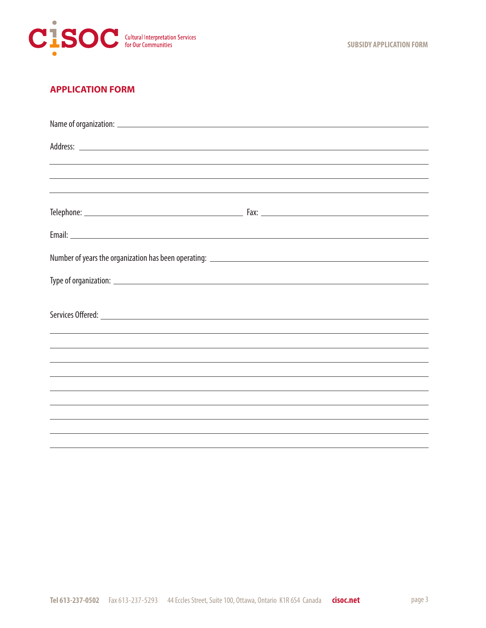

# **APPLICATION FORM**

| Address: <u>New York: Address:</u> New York: New York: New York: New York: New York: New York: New York: New York: New York: New York: New York: New York: New York: New York: New York: New York: New York: New York: New York: Ne |                                                                                  |
|-------------------------------------------------------------------------------------------------------------------------------------------------------------------------------------------------------------------------------------|----------------------------------------------------------------------------------|
|                                                                                                                                                                                                                                     | ,我们也不会有什么。""我们的人,我们也不会有什么?""我们的人,我们也不会有什么?""我们的人,我们也不会有什么?""我们的人,我们也不会有什么?""我们的人 |
|                                                                                                                                                                                                                                     | ,我们也不会有什么。""我们的人,我们也不会有什么?""我们的人,我们也不会有什么?""我们的人,我们也不会有什么?""我们的人,我们也不会有什么?""我们的人 |
|                                                                                                                                                                                                                                     | ,我们也不会有什么。""我们的人,我们也不会有什么?""我们的人,我们也不会有什么?""我们的人,我们也不会有什么?""我们的人,我们也不会有什么?""我们的人 |
|                                                                                                                                                                                                                                     |                                                                                  |
|                                                                                                                                                                                                                                     |                                                                                  |
|                                                                                                                                                                                                                                     |                                                                                  |
|                                                                                                                                                                                                                                     |                                                                                  |
|                                                                                                                                                                                                                                     |                                                                                  |
|                                                                                                                                                                                                                                     |                                                                                  |
|                                                                                                                                                                                                                                     |                                                                                  |
|                                                                                                                                                                                                                                     |                                                                                  |
|                                                                                                                                                                                                                                     | ,我们也不会有什么。""我们的人,我们也不会有什么?""我们的人,我们也不会有什么?""我们的人,我们也不会有什么?""我们的人,我们也不会有什么?""我们的人 |
|                                                                                                                                                                                                                                     |                                                                                  |
|                                                                                                                                                                                                                                     | ,我们也不会有什么。""我们的人,我们也不会有什么?""我们的人,我们也不会有什么?""我们的人,我们也不会有什么?""我们的人,我们也不会有什么?""我们的人 |
|                                                                                                                                                                                                                                     | ,我们也不能在这里的时候,我们也不能在这里的时候,我们也不能在这里的时候,我们也不能会在这里的时候,我们也不能会在这里的时候,我们也不能会在这里的时候,我们也不 |
|                                                                                                                                                                                                                                     | ,我们也不会有什么。""我们的人,我们也不会有什么?""我们的人,我们也不会有什么?""我们的人,我们也不会有什么?""我们的人,我们也不会有什么?""我们的人 |
|                                                                                                                                                                                                                                     |                                                                                  |
|                                                                                                                                                                                                                                     |                                                                                  |
|                                                                                                                                                                                                                                     |                                                                                  |